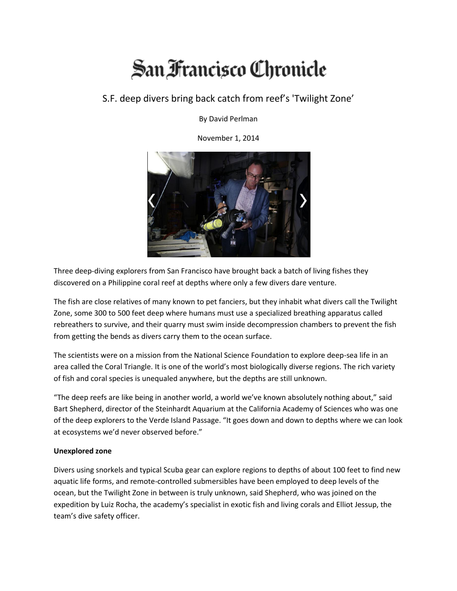# San Francisco Chronicle

# S.F. deep divers bring back catch from reef's 'Twilight Zone'

By David Perlman

November 1, 2014



Three deep-diving explorers from San Francisco have brought back a batch of living fishes they discovered on a Philippine coral reef at depths where only a few divers dare venture.

The fish are close relatives of many known to pet fanciers, but they inhabit what divers call the Twilight Zone, some 300 to 500 feet deep where humans must use a specialized breathing apparatus called rebreathers to survive, and their quarry must swim inside decompression chambers to prevent the fish from getting the bends as divers carry them to the ocean surface.

The scientists were on a mission from the National Science Foundation to explore deep-sea life in an area called the Coral Triangle. It is one of the world's most biologically diverse regions. The rich variety of fish and coral species is unequaled anywhere, but the depths are still unknown.

"The deep reefs are like being in another world, a world we've known absolutely nothing about," said Bart Shepherd, director of the Steinhardt Aquarium at the California Academy of Sciences who was one of the deep explorers to the Verde Island Passage. "It goes down and down to depths where we can look at ecosystems we'd never observed before."

## **Unexplored zone**

Divers using snorkels and typical Scuba gear can explore regions to depths of about 100 feet to find new aquatic life forms, and remote-controlled submersibles have been employed to deep levels of the ocean, but the Twilight Zone in between is truly unknown, said Shepherd, who was joined on the expedition by Luiz Rocha, the academy's specialist in exotic fish and living corals and Elliot Jessup, the team's dive safety officer.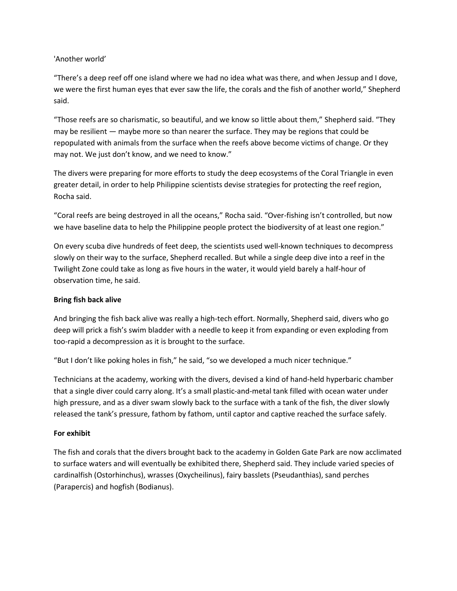#### 'Another world'

"There's a deep reef off one island where we had no idea what was there, and when Jessup and I dove, we were the first human eyes that ever saw the life, the corals and the fish of another world," Shepherd said.

"Those reefs are so charismatic, so beautiful, and we know so little about them," Shepherd said. "They may be resilient — maybe more so than nearer the surface. They may be regions that could be repopulated with animals from the surface when the reefs above become victims of change. Or they may not. We just don't know, and we need to know."

The divers were preparing for more efforts to study the deep ecosystems of the Coral Triangle in even greater detail, in order to help Philippine scientists devise strategies for protecting the reef region, Rocha said.

"Coral reefs are being destroyed in all the oceans," Rocha said. "Over-fishing isn't controlled, but now we have baseline data to help the Philippine people protect the biodiversity of at least one region."

On every scuba dive hundreds of feet deep, the scientists used well-known techniques to decompress slowly on their way to the surface, Shepherd recalled. But while a single deep dive into a reef in the Twilight Zone could take as long as five hours in the water, it would yield barely a half-hour of observation time, he said.

### **Bring fish back alive**

And bringing the fish back alive was really a high-tech effort. Normally, Shepherd said, divers who go deep will prick a fish's swim bladder with a needle to keep it from expanding or even exploding from too-rapid a decompression as it is brought to the surface.

"But I don't like poking holes in fish," he said, "so we developed a much nicer technique."

Technicians at the academy, working with the divers, devised a kind of hand-held hyperbaric chamber that a single diver could carry along. It's a small plastic-and-metal tank filled with ocean water under high pressure, and as a diver swam slowly back to the surface with a tank of the fish, the diver slowly released the tank's pressure, fathom by fathom, until captor and captive reached the surface safely.

#### **For exhibit**

The fish and corals that the divers brought back to the academy in Golden Gate Park are now acclimated to surface waters and will eventually be exhibited there, Shepherd said. They include varied species of cardinalfish (Ostorhinchus), wrasses (Oxycheilinus), fairy basslets (Pseudanthias), sand perches (Parapercis) and hogfish (Bodianus).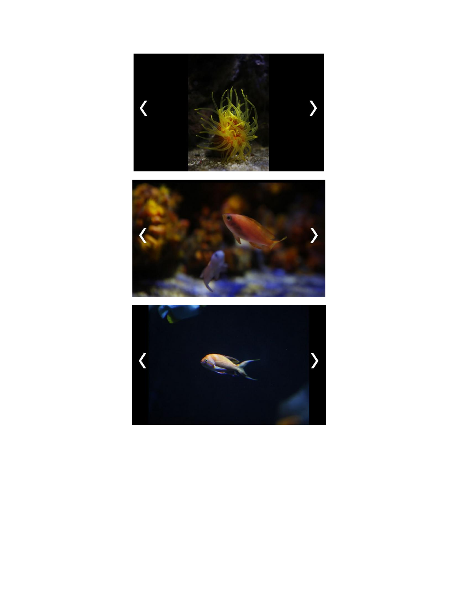